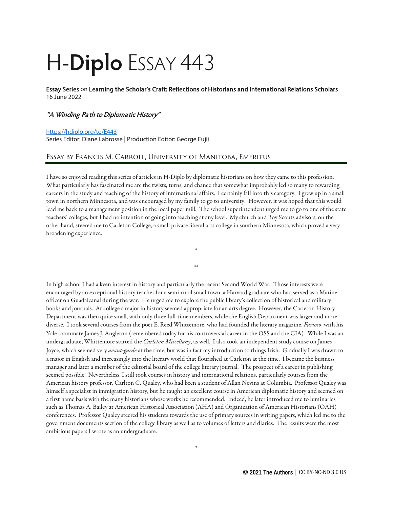## H-**Diplo** ESSAY 443

Essay Series on Learning the Scholar's Craft: Reflections of Historians and International Relations Scholars 16 June 2022

## **"A Winding Path to Diplomatic History"**

## <https://hdiplo.org/to/E443>

Series Editor: Diane Labrosse | Production Editor: George Fujii

## Essay by Francis M. Carroll, University of Manitoba, Emeritus

I have so enjoyed reading this series of articles in H-Diplo by diplomatic historians on how they came to this profession. What particularly has fascinated me are the twists, turns, and chance that somewhat improbably led so many to rewarding careers in the study and teaching of the history of international affairs. I certainly fall into this category. I grew up in a small town in northern Minnesota, and was encouraged by my family to go to university. However, it was hoped that this would lead me back to a management position in the local paper mill. The school superintendent urged me to go to one of the state teachers' colleges, but I had no intention of going into teaching at any level. My church and Boy Scouts advisors, on the other hand, steered me to Carleton College, a small private liberal arts college in southern Minnesota, which proved a very broadening experience.

\*

\*\*

In high school I had a keen interest in history and particularly the recent Second World War. Those interests were encouraged by an exceptional history teacher for a semi-rural small town, a Harvard graduate who had served as a Marine officer on Guadalcanal during the war. He urged me to explore the public library's collection of historical and military books and journals. At college a major in history seemed appropriate for an arts degree. However, the Carleton History Department was then quite small, with only three full-time members, while the English Department was larger and more diverse. I took several courses from the poet E. Reed Whittemore, who had founded the literary magazine, *Furioso*, with his Yale roommate James J. Angleton (remembered today for his controversial career in the OSS and the CIA). While I was an undergraduate, Whittemore started the *Carleton Miscellany*, as well. I also took an independent study course on James Joyce, which seemed very *avant-garde* at the time, but was in fact my introduction to things Irish. Gradually I was drawn to a major in English and increasingly into the literary world that flourished at Carleton at the time. I became the business manager and later a member of the editorial board of the college literary journal. The prospect of a career in publishing seemed possible. Nevertheless, I still took courses in history and international relations, particularly courses from the American history professor, Carlton C. Qualey, who had been a student of Allan Nevins at Columbia. Professor Qualey was himself a specialist in immigration history, but he taught an excellent course in American diplomatic history and seemed on a first name basis with the many historians whose works he recommended. Indeed, he later introduced me to luminaries such as Thomas A. Bailey at American Historical Association (AHA) and Organization of American Historians (OAH) conferences. Professor Qualey steered his students towards the use of primary sources in writing papers, which led me to the government documents section of the college library as well as to volumes of letters and diaries. The results were the most ambitious papers I wrote as an undergraduate.

\*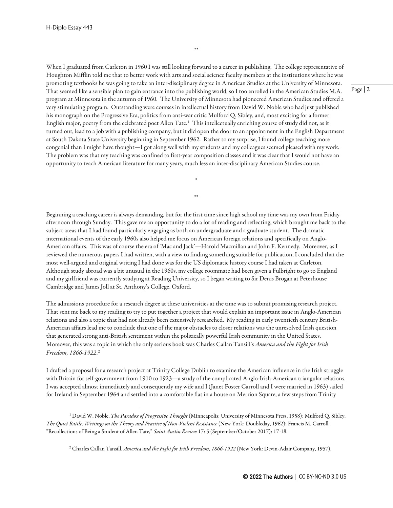When I graduated from Carleton in 1960 I was still looking forward to a career in publishing. The college representative of Houghton Mifflin told me that to better work with arts and social science faculty members at the institutions where he was promoting textbooks he was going to take an inter-disciplinary degree in American Studies at the University of Minnesota. That seemed like a sensible plan to gain entrance into the publishing world, so I too enrolled in the American Studies M.A. program at Minnesota in the autumn of 1960. The University of Minnesota had pioneered American Studies and offered a very stimulating program. Outstanding were courses in intellectual history from David W. Noble who had just published his monograph on the Progressive Era, politics from anti-war critic Mulford Q. Sibley, and, most exciting for a former English major, poetry from the celebrated poet Allen Tate.<sup>[1](#page-1-0)</sup> This intellectually enriching course of study did not, as it turned out, lead to a job with a publishing company, but it did open the door to an appointment in the English Department at South Dakota State University beginning in September 1962. Rather to my surprise, I found college teaching more congenial than I might have thought—I got along well with my students and my colleagues seemed pleased with my work. The problem was that my teaching was confined to first-year composition classes and it was clear that I would not have an opportunity to teach American literature for many years, much less an inter-disciplinary American Studies course.

\*

\*\*

\*\*

Beginning a teaching career is always demanding, but for the first time since high school my time was my own from Friday afternoon through Sunday. This gave me an opportunity to do a lot of reading and reflecting, which brought me back to the subject areas that I had found particularly engaging as both an undergraduate and a graduate student. The dramatic international events of the early 1960s also helped me focus on American foreign relations and specifically on Anglo-American affairs. This was of course the era of 'Mac and Jack'—Harold Macmillan and John F. Kennedy. Moreover, as I reviewed the numerous papers I had written, with a view to finding something suitable for publication, I concluded that the most well-argued and original writing I had done was for the US diplomatic history course I had taken at Carleton. Although study abroad was a bit unusual in the 1960s, my college roommate had been given a Fulbright to go to England and my girlfriend was currently studying at Reading University, so I began writing to Sir Denis Brogan at Peterhouse Cambridge and James Joll at St. Anthony's College, Oxford.

The admissions procedure for a research degree at these universities at the time was to submit promising research project. That sent me back to my reading to try to put together a project that would explain an important issue in Anglo-American relations and also a topic that had not already been extensively researched. My reading in early twentieth century British-American affairs lead me to conclude that one of the major obstacles to closer relations was the unresolved Irish question that generated strong anti-British sentiment within the politically powerful Irish community in the United States. Moreover, this was a topic in which the only serious book was Charles Callan Tansill's *America and the Fight for Irish Freedom, 1866-1922*. [2](#page-1-1)

I drafted a proposal for a research project at Trinity College Dublin to examine the American influence in the Irish struggle with Britain for self-government from 1910 to 1923—a study of the complicated Anglo-Irish-American triangular relations. I was accepted almost immediately and consequently my wife and I (Janet Foster Carroll and I were married in 1963) sailed for Ireland in September 1964 and settled into a comfortable flat in a house on Merrion Square, a few steps from Trinity

<span id="page-1-1"></span><span id="page-1-0"></span><sup>1</sup> David W. Noble, *The Paradox of Progressive Thought* (Minneapolis: University of Minnesota Press, 1958); Mulford Q. Sibley, *The Quiet Battle: Writings on the Theory and Practice of Non-Violent Resistance* (New York: Doubleday, 1962); Francis M. Carroll, "Recollections of Being a Student of Allen Tate," *Saint Austin Review* 17: 5 (September/October 2017): 17-18.

<sup>2</sup> Charles Callan Tansill, *America and the Fight for Irish Freedom, 1866-1922* (New York: Devin-Adair Company, 1957).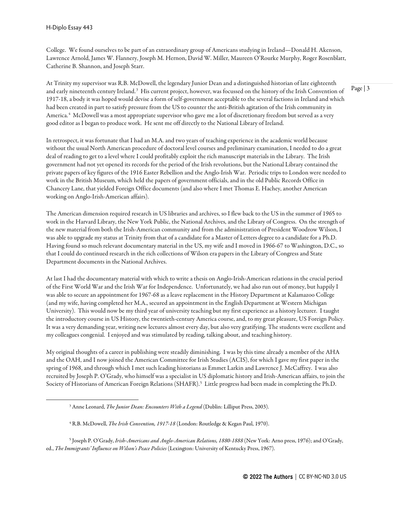College. We found ourselves to be part of an extraordinary group of Americans studying in Ireland—Donald H. Akenson, Lawrence Arnold, James W. Flannery, Joseph M. Hernon, David W. Miller, Maureen O'Rourke Murphy, Roger Rosenblatt, Catherine B. Shannon, and Joseph Starr.

At Trinity my supervisor was R.B. McDowell, the legendary Junior Dean and a distinguished historian of late eighteenth and early nineteenth century Ireland.<sup>[3](#page-2-0)</sup> His current project, however, was focussed on the history of the Irish Convention of 1917-18, a body it was hoped would devise a form of self-government acceptable to the several factions in Ireland and which had been created in part to satisfy pressure from the US to counter the anti-British agitation of the Irish community in America.[4](#page-2-1) McDowell was a most appropriate supervisor who gave me a lot of discretionary freedom but served as a very good editor as I began to produce work. He sent me off directly to the National Library of Ireland.

In retrospect, it was fortunate that I had an M.A. and two years of teaching experience in the academic world because without the usual North American procedure of doctoral level courses and preliminary examination, I needed to do a great deal of reading to get to a level where I could profitably exploit the rich manuscript materials in the Library. The Irish government had not yet opened its records for the period of the Irish revolutions, but the National Library contained the private papers of key figures of the 1916 Easter Rebellion and the Anglo-Irish War. Periodic trips to London were needed to work in the British Museum, which held the papers of government officials, and in the old Public Records Office in Chancery Lane, that yielded Foreign Office documents (and also where I met Thomas E. Hachey, another American working on Anglo-Irish-American affairs).

The American dimension required research in US libraries and archives, so I flew back to the US in the summer of 1965 to work in the Harvard Library, the New York Public, the National Archives, and the Library of Congress. On the strength of the new material from both the Irish-American community and from the administration of President Woodrow Wilson, I was able to upgrade my status at Trinity from that of a candidate for a Master of Letters degree to a candidate for a Ph.D. Having found so much relevant documentary material in the US, my wife and I moved in 1966-67 to Washington, D.C., so that I could do continued research in the rich collections of Wilson era papers in the Library of Congress and State Department documents in the National Archives.

At last I had the documentary material with which to write a thesis on Anglo-Irish-American relations in the crucial period of the First World War and the Irish War for Independence. Unfortunately, we had also run out of money, but happily I was able to secure an appointment for 1967-68 as a leave replacement in the History Department at Kalamazoo College (and my wife, having completed her M.A., secured an appointment in the English Department at Western Michigan University). This would now be my third year of university teaching but my first experience as a history lecturer. I taught the introductory course in US History, the twentieth-century America course, and, to my great pleasure, US Foreign Policy. It was a very demanding year, writing new lectures almost every day, but also very gratifying. The students were excellent and my colleagues congenial. I enjoyed and was stimulated by reading, talking about, and teaching history.

My original thoughts of a career in publishing were steadily diminishing. I was by this time already a member of the AHA and the OAH, and I now joined the American Committee for Irish Studies (ACIS), for which I gave my first paper in the spring of 1968, and through which I met such leading historians as Emmet Larkin and Lawrence J. McCaffrey. I was also recruited by Joseph P. O'Grady, who himself was a specialist in US diplomatic history and Irish-American affairs, to join the Society of Historians of American Foreign Relations (SHAFR).<sup>[5](#page-2-2)</sup> Little progress had been made in completing the Ph.D.

<sup>3</sup> Anne Leonard, *The Junior Dean: Encounters With a Legend* (Dublin: Lilliput Press, 2003).

<sup>&</sup>lt;sup>4</sup> R.B. McDowell, *The Irish Convention, 1917-18* (London: Routledge & Kegan Paul, 1970).

<span id="page-2-2"></span><span id="page-2-1"></span><span id="page-2-0"></span><sup>5</sup> Joseph P. O'Grady, *Irish-Americans and Anglo-American Relations, 1880-1888* (New York: Arno press, 1976); and O'Grady, ed., *The Immigrants' Influence on Wilson's Peace Policies* (Lexington: University of Kentucky Press, 1967).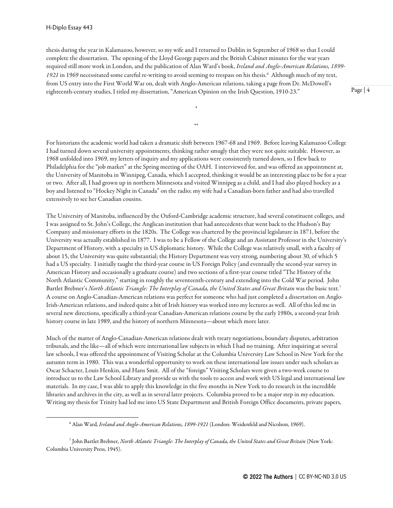thesis during the year in Kalamazoo, however, so my wife and I returned to Dublin in September of 1968 so that I could complete the dissertation. The opening of the Lloyd George papers and the British Cabinet minutes for the war years required still more work in London, and the publication of Alan Ward's book, *Ireland and Anglo-American Relations, 1899-* 1921 in 19[6](#page-3-0)9 necessitated some careful re-writing to avoid seeming to trespass on his thesis.<sup>6</sup> Although much of my text, from US entry into the First World War on, dealt with Anglo-American relations, taking a page from Dr. McDowell's eighteenth-century studies, I titled my dissertation, "American Opinion on the Irish Question, 1910-23."

\*

\*\*

Page | 4

For historians the academic world had taken a dramatic shift between 1967-68 and 1969. Before leaving Kalamazoo College I had turned down several university appointments, thinking rather smugly that they were not quite suitable. However, as 1968 unfolded into 1969, my letters of inquiry and my applications were consistently turned down, so I flew back to Philadelphia for the "job market" at the Spring meeting of the OAH. I interviewed for, and was offered an appointment at, the University of Manitoba in Winnipeg, Canada, which I accepted, thinking it would be an interesting place to be for a year or two. After all, I had grown up in northern Minnesota and visited Winnipeg as a child, and I had also played hockey as a boy and listened to "Hockey Night in Canada" on the radio; my wife had a Canadian-born father and had also travelled extensively to see her Canadian cousins.

The University of Manitoba, influenced by the Oxford-Cambridge academic structure, had several constituent colleges, and I was assigned to St. John's College, the Anglican institution that had antecedents that went back to the Hudson's Bay Company and missionary efforts in the 1820s. The College was chartered by the provincial legislature in 1871, before the University was actually established in 1877. I was to be a Fellow of the College and an Assistant Professor in the University's Department of History, with a specialty in US diplomatic history. While the College was relatively small, with a faculty of about 15, the University was quite substantial; the History Department was very strong, numbering about 30, of which 5 had a US specialty. I initially taught the third-year course in US Foreign Policy (and eventually the second-year survey in American History and occasionally a graduate course) and two sections of a first-year course titled "The History of the North Atlantic Community," starting in roughly the seventeenth-century and extending into the Cold War period. John Bartlet Brebner's *North Atlantic Triangle: The Interplay of Canada, the United States and Great Britain* was the basic text.<sup>[7](#page-3-1)</sup> A course on Anglo-Canadian-American relations was perfect for someone who had just completed a dissertation on Anglo-Irish-American relations, and indeed quite a bit of Irish history was worked into my lectures as well. All of this led me in several new directions, specifically a third-year Canadian-American relations course by the early 1980s, a second-year Irish history course in late 1989, and the history of northern Minnesota—about which more later.

Much of the matter of Anglo-Canadian-American relations dealt with treaty negotiations, boundary disputes, arbitration tribunals, and the like—all of which were international law subjects in which I had no training. After inquiring at several law schools, I was offered the appointment of Visiting Scholar at the Columbia University Law School in New York for the autumn term in 1980. This was a wonderful opportunity to work on these international law issues under such scholars as Oscar Schacter, Louis Henkin, and Hans Smit. All of the "foreign" Visiting Scholars were given a two-week course to introduce us to the Law School Library and provide us with the tools to access and work with US legal and international law materials. In my case, I was able to apply this knowledge in the five months in New York to do research in the incredible libraries and archives in the city, as well as in several later projects. Columbia proved to be a major step in my education. Writing my thesis for Trinity had led me into US State Department and British Foreign Office documents, private papers,

<sup>6</sup> Alan Ward, *Ireland and Anglo-American Relations, 1899-1921* (London: Weidenfeld and Nicolson, 1969).

<span id="page-3-1"></span><span id="page-3-0"></span><sup>7</sup> John Bartlet Brebner, *North Atlantic Triangle: The Interplay of Canada, the United States and Great Britain* (New York: Columbia University Press, 1945).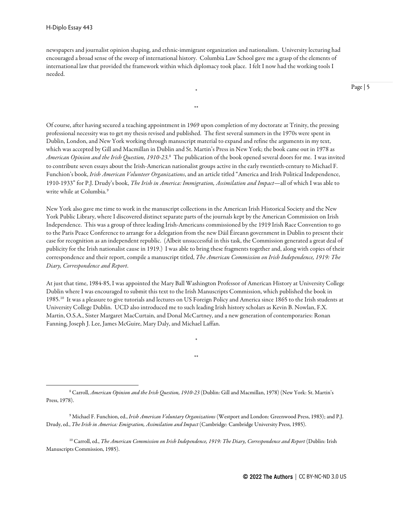newspapers and journalist opinion shaping, and ethnic-immigrant organization and nationalism. University lecturing had encouraged a broad sense of the sweep of international history. Columbia Law School gave me a grasp of the elements of international law that provided the framework within which diplomacy took place. I felt I now had the working tools I needed.

\*

\*\*

Page | 5

Of course, after having secured a teaching appointment in 1969 upon completion of my doctorate at Trinity, the pressing professional necessity was to get my thesis revised and published. The first several summers in the 1970s were spent in Dublin, London, and New York working through manuscript material to expand and refine the arguments in my text, which was accepted by Gill and Macmillan in Dublin and St. Martin's Press in New York; the book came out in 1978 as *American Opinion and the Irish Question, 1910-23*. [8](#page-4-0) The publication of the book opened several doors for me. I was invited to contribute seven essays about the Irish-American nationalist groups active in the early twentieth-century to Michael F. Funchion's book, *Irish American Volunteer Organizations*, and an article titled "America and Irish Political Independence, 1910-1933" for P.J. Drudy's book, *The Irish in America: Immigration, Assimilation and Impact*—all of which I was able to write while at Columbia.<sup>[9](#page-4-1)</sup>

New York also gave me time to work in the manuscript collections in the American Irish Historical Society and the New York Public Library, where I discovered distinct separate parts of the journals kept by the American Commission on Irish Independence. This was a group of three leading Irish-Americans commissioned by the 1919 Irish Race Convention to go to the Paris Peace Conference to arrange for a delegation from the new Dáil Éireann government in Dublin to present their case for recognition as an independent republic. (Albeit unsuccessful in this task, the Commission generated a great deal of publicity for the Irish nationalist cause in 1919.) I was able to bring these fragments together and, along with copies of their correspondence and their report, compile a manuscript titled, *The American Commission on Irish Independence, 1919: The Diary, Correspondence and Report*.

At just that time, 1984-85, I was appointed the Mary Ball Washington Professor of American History at University College Dublin where I was encouraged to submit this text to the Irish Manuscripts Commission, which published the book in 1985.<sup>10</sup> It was a pleasure to give tutorials and lectures on US Foreign Policy and America since 1865 to the Irish students at University College Dublin. UCD also introduced me to such leading Irish history scholars as Kevin B. Nowlan, F.X. Martin, O.S.A., Sister Margaret MacCurtain, and Donal McCartney, and a new generation of contemporaries: Ronan Fanning, Joseph J. Lee, James McGuire, Mary Daly, and Michael Laffan.

\*

\*\*

<span id="page-4-2"></span><sup>10</sup> Carroll, ed., *The American Commission on Irish Independence, 1919: The Diary, Correspondence and Report* (Dublin: Irish Manuscripts Commission, 1985).

<span id="page-4-0"></span><sup>8</sup> Carroll, *American Opinion and the Irish Question, 1910-23* (Dublin: Gill and Macmillan, 1978) (New York: St. Martin's Press, 1978).

<span id="page-4-1"></span><sup>9</sup> Michael F. Funchion, ed., *Irish American Voluntary Organizations* (Westport and London: Greenwood Press, 1983); and P.J. Drudy, ed., *The Irish in America: Emigration, Assimilation and Impact* (Cambridge: Cambridge University Press, 1985).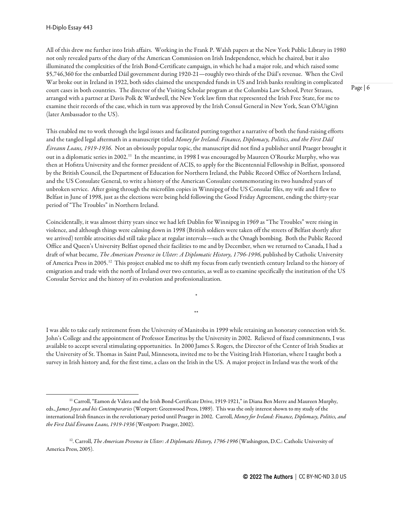All of this drew me further into Irish affairs. Working in the Frank P. Walsh papers at the New York Public Library in 1980 not only revealed parts of the diary of the American Commission on Irish Independence, which he chaired, but it also illuminated the complexities of the Irish Bond-Certificate campaign, in which he had a major role, and which raised some \$5,746,360 for the embattled Dáil government during 1920-21—roughly two thirds of the Dáil's revenue. When the Civil War broke out in Ireland in 1922, both sides claimed the unexpended funds in US and Irish banks resulting in complicated court cases in both countries. The director of the Visiting Scholar program at the Columbia Law School, Peter Strauss, arranged with a partner at Davis Polk & Wardwell, the New York law firm that represented the Irish Free State, for me to examine their records of the case, which in turn was approved by the Irish Consul General in New York, Sean O'hUiginn (later Ambassador to the US).

This enabled me to work through the legal issues and facilitated putting together a narrative of both the fund-raising efforts and the tangled legal aftermath in a manuscript titled *Money for Ireland: Finance, Diplomacy, Politics, and the First Dáil Éireann Loans, 1919-1936*. Not an obviously popular topic, the manuscript did not find a publisher until Praeger brought it out in a diplomatic series in 2002.<sup>[11](#page-5-0)</sup> In the meantime, in 1998 I was encouraged by Maureen O'Rourke Murphy, who was then at Hofstra University and the former president of ACIS, to apply for the Bicentennial Fellowship in Belfast, sponsored by the British Council, the Department of Education for Northern Ireland, the Public Record Office of Northern Ireland, and the US Consulate General, to write a history of the American Consulate commemorating its two hundred years of unbroken service. After going through the microfilm copies in Winnipeg of the US Consular files, my wife and I flew to Belfast in June of 1998, just as the elections were being held following the Good Friday Agreement, ending the thirty-year period of "The Troubles" in Northern Ireland.

Coincidentally, it was almost thirty years since we had left Dublin for Winnipeg in 1969 as "The Troubles" were rising in violence, and although things were calming down in 1998 (British soldiers were taken off the streets of Belfast shortly after we arrived) terrible atrocities did still take place at regular intervals—such as the Omagh bombing. Both the Public Record Office and Queen's University Belfast opened their facilities to me and by December, when we returned to Canada, I had a draft of what became, *The American Presence in Ulster: A Diplomatic History, 1796-1996*, published by Catholic University of America Press in 2005.<sup>[12](#page-5-1)</sup> This project enabled me to shift my focus from early twentieth century Ireland to the history of emigration and trade with the north of Ireland over two centuries, as well as to examine specifically the institution of the US Consular Service and the history of its evolution and professionalization.

\*

\*\*

I was able to take early retirement from the University of Manitoba in 1999 while retaining an honorary connection with St. John's College and the appointment of Professor Emeritus by the University in 2002. Relieved of fixed commitments, I was available to accept several stimulating opportunities. In 2000 James S. Rogers, the Director of the Center of Irish Studies at the University of St. Thomas in Saint Paul, Minnesota, invited me to be the Visiting Irish Historian, where I taught both a survey in Irish history and, for the first time, a class on the Irish in the US. A major project in Ireland was the work of the

<span id="page-5-0"></span><sup>&</sup>lt;sup>11</sup> Carroll, "Eamon de Valera and the Irish Bond-Certificate Drive, 1919-1921," in Diana Ben Merre and Maureen Murphy, eds., *James Joyce and his Contemporaries* (Westport: Greenwood Press, 1989). This was the only interest shown to my study of the international Irish finances in the revolutionary period until Praeger in 2002. Carroll, *Money for Ireland: Finance, Diplomacy, Politics, and the First Dáil Éireann Loans, 1919-1936* (Westport: Praeger, 2002).

<span id="page-5-1"></span><sup>&</sup>lt;sup>12</sup>. Carroll, *The American Presence in Ulster: A Diplomatic History, 1796-1996* (Washington, D.C.: Catholic University of America Press, 2005).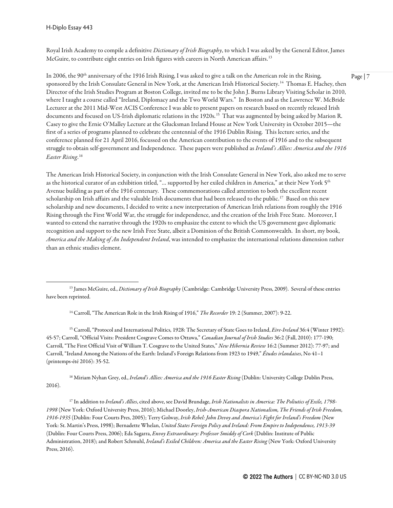H-Diplo Essay 443

Royal Irish Academy to compile a definitive *Dictionary of Irish Biography*, to which I was asked by the General Editor, James McGuire, to contribute eight entries on Irish figures with careers in North American affairs.<sup>13</sup>

In 2006, the  $90<sup>th</sup>$  anniversary of the 1916 Irish Rising, I was asked to give a talk on the American role in the Rising, sponsored by the Irish Consulate General in New York, at the American Irish Historical Society.<sup>14</sup> Thomas E. Hachey, then Director of the Irish Studies Program at Boston College, invited me to be the John J. Burns Library Visiting Scholar in 2010, where I taught a course called "Ireland, Diplomacy and the Two World Wars." In Boston and as the Lawrence W. McBride Lecturer at the 2011 Mid-West ACIS Conference I was able to present papers on research based on recently released Irish documents and focused on US-Irish diplomatic relations in the 1920s.<sup>[15](#page-6-2)</sup> That was augmented by being asked by Marion R. Casey to give the Ernie O'Malley Lecture at the Glucksman Ireland House at New York University in October 2015—the first of a series of programs planned to celebrate the centennial of the 1916 Dublin Rising. This lecture series, and the conference planned for 21 April 2016, focussed on the American contribution to the events of 1916 and to the subsequent struggle to obtain self-government and Independence. These papers were published as *Ireland's Allies: America and the 1916 Easter Rising*. [16](#page-6-3) 

The American Irish Historical Society, in conjunction with the Irish Consulate General in New York, also asked me to serve as the historical curator of an exhibition titled, "... supported by her exiled children in America," at their New York 5<sup>th</sup> Avenue building as part of the 1916 centenary. These commemorations called attention to both the excellent recent scholarship on Irish affairs and the valuable Irish documents that had been released to the public.<sup>17</sup> Based on this new scholarship and new documents, I decided to write a new interpretation of American Irish relations from roughly the 1916 Rising through the First World War, the struggle for independence, and the creation of the Irish Free State. Moreover, I wanted to extend the narrative through the 1920s to emphasize the extent to which the US government gave diplomatic recognition and support to the new Irish Free State, albeit a Dominion of the British Commonwealth. In short, my book, *America and the Making of An Independent Ireland*, was intended to emphasize the international relations dimension rather than an ethnic studies element.

<span id="page-6-0"></span><sup>13</sup> James McGuire, ed., *Dictionary of Irish Biography* (Cambridge: Cambridge University Press, 2009). Several of these entries have been reprinted.

<sup>14</sup> Carroll, "The American Role in the Irish Rising of 1916," *The Recorder* 19: 2 (Summer, 2007): 9-22.

<span id="page-6-2"></span><span id="page-6-1"></span><sup>15</sup> Carroll, "Protocol and International Politics, 1928: The Secretary of State Goes to Ireland, *Eire-Ireland* 36:4 (Winter 1992): 45-57; Carroll, "Official Visits: President Cosgrave Comes to Ottawa," *Canadian Journal of Irish Studies* 36:2 (Fall, 2010): 177-190; Carroll, "The First Official Visit of William T. Cosgrave to the United States," *New Hibernia Review* 16:2 (Summer 2012): 77-97; and Carroll, "Ireland Among the Nations of the Earth: Ireland's Foreign Relations from 1923 to 1949," *Études irlandaises*, No 41–1 (printemps-été 2016): 35-52.

<span id="page-6-3"></span><sup>16</sup> Miriam Nyhan Grey, ed., *Ireland's Allies: America and the 1916 Easter Rising* (Dublin: University College Dublin Press, 2016).

<span id="page-6-4"></span><sup>17</sup> In addition to *Ireland's Allies*, cited above, see David Brundage, *Irish Nationalists in America: The Poliutics of Exile, 1798- 1998* (New York: Oxford University Press, 2016); Michael Doorley, *Irish-American Diaspora Nationalism, The Friends of Irish Freedom, 1916-1935* (Dublin: Four Courts Pres, 2005); Terry Golway, *Irish Rebel: John Devoy and America's Fight for Ireland's Freedom* (New York: St. Martin's Press, 1998); Bernadette Whelan, *United States Foreign Policy and Ireland: From Empire to Independence, 1913-39* (Dublin: Four Courts Press, 2006); Eda Sagarra, *Envoy Extraordinary: Professor Smiddy of Cork* (Dublin: Institute of Public Administration, 2018); and Robert Schmuhl, *Ireland's Exiled Children: America and the Easter Rising* (New York: Oxford University Press, 2016).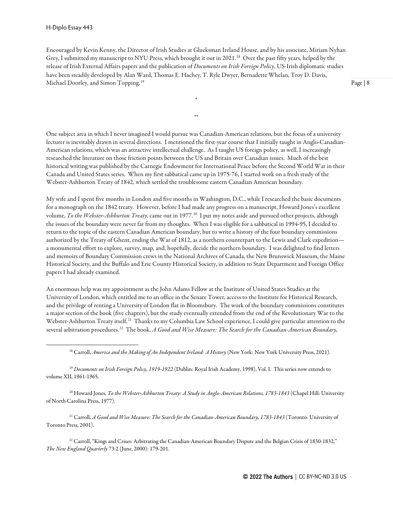Encouraged by Kevin Kenny, the Director of Irish Studies at Glucksman Ireland House, and by his associate, Miriam Nyhan Grey, I submitted my manuscript to NYU Press, which brought it out in 2021.<sup>[18](#page-7-0)</sup> Over the past fifty years, helped by the release of Irish External Affairs papers and the publication of *Documents on Irish Foreign Policy*, US-Irish diplomatic studies have been steadily developed by Alan Ward, Thomas E. Hachey, T. Ryle Dwyer, Bernadette Whelan, Troy D. Davis, Michael Doorley, and Simon Topping.<sup>19</sup>

\*

\*\*

Page | 8

One subject area in which I never imagined I would pursue was Canadian-American relations, but the focus of a university lecturer is inevitably drawn in several directions. I mentioned the first-year course that I initially taught in Anglo-Canadian-American relations, which was an attractive intellectual challenge. As I taught US foreign policy, as well, I increasingly researched the literature on those friction points between the US and Britain over Canadian issues. Much of the best historical writing was published by the Carnegie Endowment for International Peace before the Second World War in their Canada and United States series. When my first sabbatical came up in 1975-76, I started work on a fresh study of the Webster-Ashburton Treaty of 1842, which settled the troublesome eastern Canadian American boundary.

My wife and I spent five months in London and five months in Washington, D.C., while I researched the basic documents for a monograph on the 1842 treaty. However, before I had made any progress on a manuscript, Howard Jones's excellent volume, *To the Webster-Ashburton Treaty*, came out in 1977.[20](#page-7-2) I put my notes aside and pursued other projects, although the issues of the boundary were never far from my thoughts. When I was eligible for a sabbatical in 1994-95, I decided to return to the topic of the eastern Canadian American boundary, but to write a history of the four boundary commissions authorized by the Treaty of Ghent, ending the War of 1812, as a northern counterpart to the Lewis and Clark expedition a monumental effort to explore, survey, map, and, hopefully, decide the northern boundary. I was delighted to find letters and memoirs of Boundary Commission crews in the National Archives of Canada, the New Brunswick Museum, the Maine Historical Society, and the Buffalo and Erie County Historical Society, in addition to State Department and Foreign Office papers I had already examined.

An enormous help was my appointment as the John Adams Fellow at the Institute of United States Studies at the University of London, which entitled me to an office in the Senate Tower, access to the Institute for Historical Research, and the privilege of renting a University of London flat in Bloomsbury. The work of the boundary commissions constitutes a major section of the book (five chapters), but the study eventually extended from the end of the Revolutionary War to the Webster-Ashburton Treaty itself.[21](#page-7-3) Thanks to my Columbia Law School experience, I could give particular attention to the several arbitration procedures.<sup>[22](#page-7-4)</sup> The book, *A Good and Wise Measure: The Search for the Canadian-American Boundary*,

<sup>18</sup> Carroll, *America and the Making of An Independent Ireland: A History*(New York: New York University Press, 2021).

<span id="page-7-1"></span><span id="page-7-0"></span><sup>19</sup> *Documents on Irish Foreign Policy, 1919-1922* (Dublin: Royal Irish Academy, 1998), Vol. I. This series now extends to volume XII, 1961-1965.

<span id="page-7-2"></span><sup>20</sup> Howard Jones, *To the Webster-Ashburton Treaty: A Study in Anglo-American Relations, 1783-1843* (Chapel Hill: University of North Carolina Press, 1977).

<span id="page-7-3"></span><sup>21</sup> Carroll, *A Good and Wise Measure: The Search for the Canadian-American Boundary, 1783-1843* (Toronto: University of Toronto Press, 2001).

<span id="page-7-4"></span><sup>22</sup> Carroll, "Kings and Crises: Arbitrating the Canadian-American Boundary Dispute and the Belgian Crisis of 1830-1832," *The New England Quarterly* 73:2 (June, 2000): 179-201.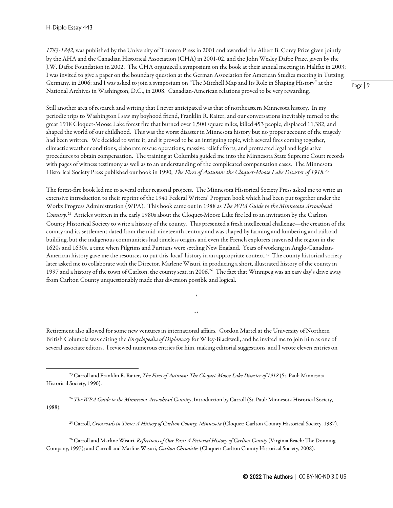*1783-1842*, was published by the University of Toronto Press in 2001 and awarded the Albert B. Corey Prize given jointly by the AHA and the Canadian Historical Association (CHA) in 2001-02, and the John Wesley Dafoe Prize, given by the J.W. Dafoe Foundation in 2002. The CHA organized a symposium on the book at their annual meeting in Halifax in 2003; I was invited to give a paper on the boundary question at the German Association for American Studies meeting in Tutzing, Germany, in 2006; and I was asked to join a symposium on "The Mitchell Map and Its Role in Shaping History" at the National Archives in Washington, D.C., in 2008. Canadian-American relations proved to be very rewarding.

Still another area of research and writing that I never anticipated was that of northeastern Minnesota history. In my periodic trips to Washington I saw my boyhood friend, Franklin R. Raiter, and our conversations inevitably turned to the great 1918 Cloquet-Moose Lake forest fire that burned over 1,500 square miles, killed 453 people, displaced 11,382, and shaped the world of our childhood. This was the worst disaster in Minnesota history but no proper account of the tragedy had been written. We decided to write it, and it proved to be an intriguing topic, with several fires coming together, climactic weather conditions, elaborate rescue operations, massive relief efforts, and protracted legal and legislative procedures to obtain compensation. The training at Columbia guided me into the Minnesota State Supreme Court records with pages of witness testimony as well as to an understanding of the complicated compensation cases. The Minnesota Historical Society Press published our book in 1990, *The Fires of Autumn: the Cloquet-Moose Lake Disaster of 1918*. [23](#page-8-0)

The forest-fire book led me to several other regional projects. The Minnesota Historical Society Press asked me to write an extensive introduction to their reprint of the 1941 Federal Writers' Program book which had been put together under the Works Progress Administration (WPA). This book came out in 1988 as *The WPA Guide to the Minnesota Arrowhead Country*. [24](#page-8-1) Articles written in the early 1980s about the Cloquet-Moose Lake fire led to an invitation by the Carlton County Historical Society to write a history of the county. This presented a fresh intellectual challenge—the creation of the county and its settlement dated from the mid-nineteenth century and was shaped by farming and lumbering and railroad building, but the indigenous communities had timeless origins and even the French explorers traversed the region in the 1620s and 1630s, a time when Pilgrims and Puritans were settling New England. Years of working in Anglo-Canadian-American history gave me the resources to put this 'local' history in an appropriate context.<sup>[25](#page-8-2)</sup> The county historical society later asked me to collaborate with the Director, Marlene Wisuri, in producing a short, illustrated history of the county in 1997 and a history of the town of Carlton, the county seat, in 2006.<sup>[26](#page-8-3)</sup> The fact that Winnipeg was an easy day's drive away from Carlton County unquestionably made that diversion possible and logical.

Retirement also allowed for some new ventures in international affairs. Gordon Martel at the University of Northern British Columbia was editing the *Encyclopedia of Diplomacy* for Wiley-Blackwell, and he invited me to join him as one of several associate editors. I reviewed numerous entries for him, making editorial suggestions, and I wrote eleven entries on

\*

\*\*

<span id="page-8-1"></span><sup>24</sup> *The WPA Guide to the Minnesota Arrowhead Country*, Introduction by Carroll (St. Paul: Minnesota Historical Society, 1988).

<sup>25</sup> Carroll, *Crossroads in Time: A History of Carlton County, Minnesota* (Cloquet: Carlton County Historical Society, 1987).

<span id="page-8-3"></span><span id="page-8-2"></span><sup>26</sup> Carroll and Marline Wisuri, *Reflections of Our Past: A Pictorial History of Carlton County* (Virginia Beach: The Donning Company, 1997); and Carroll and Marline Wisuri, *Carlton Chronicles* (Cloquet: Carlton County Historical Society, 2008).

<span id="page-8-0"></span><sup>23</sup> Carroll and Franklin R. Raiter, *The Fires of Autumn: The Cloquet-Moose Lake Disaster of 1918* (St. Paul: Minnesota Historical Society, 1990).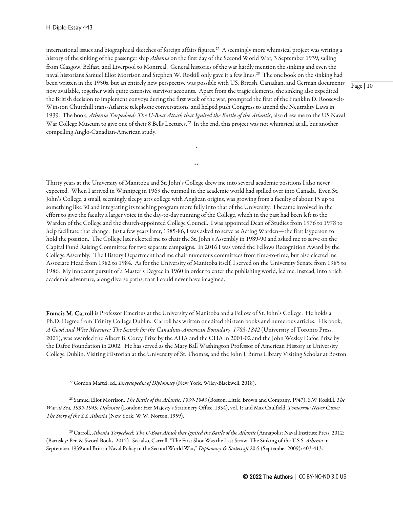international issues and biographical sketches of foreign affairs figures.<sup>27</sup> A seemingly more whimsical project was writing a history of the sinking of the passenger ship *Athenia* on the first day of the Second World War, 3 September 1939, sailing from Glasgow, Belfast, and Liverpool to Montreal. General histories of the war hardly mention the sinking and even the naval historians Samuel Eliot Morrison and Stephen W. Roskill only gave it a few lines. [28](#page-9-1) The one book on the sinking had been written in the 1950s, but an entirely new perspective was possible with US, British, Canadian, and German documents now available, together with quite extensive survivor accounts. Apart from the tragic elements, the sinking also expedited the British decision to implement convoys during the first week of the war, prompted the first of the Franklin D. Roosevelt-Winston Churchill trans-Atlantic telephone conversations, and helped push Congress to amend the Neutrality Laws in 1939. The book, *Athenia Torpedoed: The U-Boat Attack that Ignited the Battle of the Atlantic*, also drew me to the US Naval War College Museum to give one of their 8 Bells Lectures.<sup>[29](#page-9-2)</sup> In the end, this project was not whimsical at all, but another compelling Anglo-Canadian-American study.

\*

\*\*

Thirty years at the University of Manitoba and St. John's College drew me into several academic positions I also never expected. When I arrived in Winnipeg in 1969 the turmoil in the academic world had spilled over into Canada. Even St. John's College, a small, seemingly sleepy arts college with Anglican origins, was growing from a faculty of about 15 up to something like 30 and integrating its teaching program more fully into that of the University. I became involved in the effort to give the faculty a larger voice in the day-to-day running of the College, which in the past had been left to the Warden of the College and the church-appointed College Council. I was appointed Dean of Studies from 1976 to 1978 to help facilitate that change. Just a few years later, 1985-86, I was asked to serve as Acting Warden—the first layperson to hold the position. The College later elected me to chair the St. John's Assembly in 1989-90 and asked me to serve on the Capital Fund Raising Committee for two separate campaigns. In 2016 I was voted the Fellows Recognition Award by the College Assembly. The History Department had me chair numerous committees from time-to-time, but also elected me Associate Head from 1982 to 1984. As for the University of Manitoba itself, I served on the University Senate from 1985 to 1986. My innocent pursuit of a Master's Degree in 1960 in order to enter the publishing world, led me, instead, into a rich academic adventure, along diverse paths, that I could never have imagined.

Francis M. Carroll is Professor Emeritus at the University of Manitoba and a Fellow of St. John's College. He holds a Ph.D. Degree from Trinity College Dublin. Carroll has written or edited thirteen books and numerous articles. His book, *A Good and Wise Measure: The Search for the Canadian-American Boundary, 1783-1842* (University of Toronto Press, 2001), was awarded the Albert B. Corey Prize by the AHA and the CHA in 2001-02 and the John Wesley Dafoe Prize by the Dafoe Foundation in 2002. He has served as the Mary Ball Washington Professor of American History at University College Dublin, Visiting Historian at the University of St. Thomas, and the John J. Burns Library Visiting Scholar at Boston

<sup>27</sup> Gordon Martel, ed., *Encyclopedia of Diplomacy* (New York: Wiley-Blackwell, 2018).

<span id="page-9-1"></span><span id="page-9-0"></span><sup>28</sup> Samuel Eliot Morrison, *The Battle of the Atlantic, 1939-1943* (Boston: Little, Brown and Company, 1947); S.W Roskill, *The War at Sea, 1939-1945: Defensive* (London: Her Majesty's Stationery Office, 1954), vol. 1; and Max Caulfield, *Tomorrow Never Came: The Story of the S.S. Athenia* (New York: W.W. Norton, 1959).

<span id="page-9-2"></span><sup>&</sup>lt;sup>29</sup> Carroll, *Athenia Torpedoed: The U-Boat Attack that Ignited the Battle of the Atlantic* (Annapolis: Naval Institute Press, 2012; (Barnsley: Pen & Sword Books, 2012). See also, Carroll, "The First Shot Was the Last Straw: The Sinking of the T.S.S. *Athenia* in September 1939 and British Naval Policy in the Second World War," *Diplomacy & Statecraft* 20:5 (September 2009): 403-413.